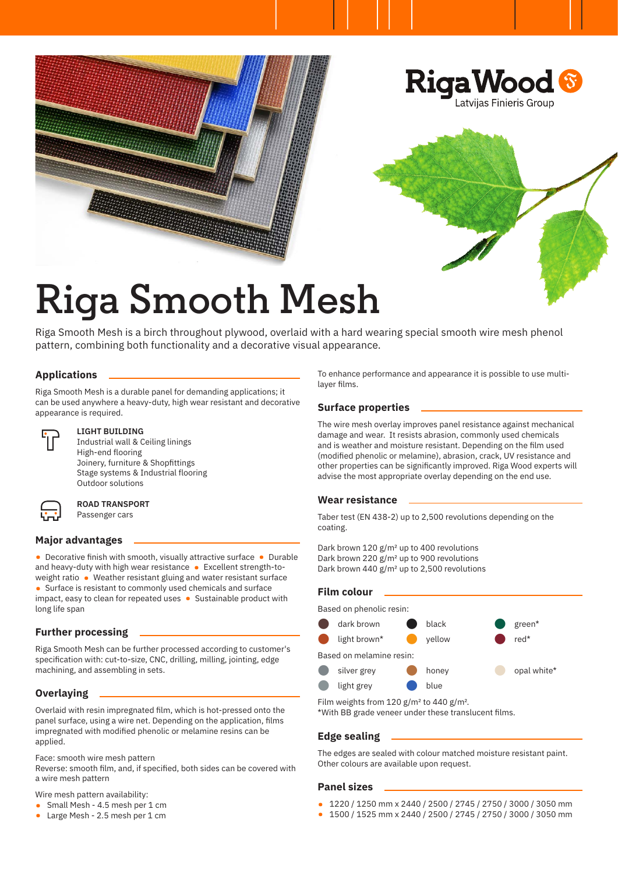

## **Riga Smooth Mesh**

Riga Smooth Mesh is a birch throughout plywood, overlaid with a hard wearing special smooth wire mesh phenol pattern, combining both functionality and a decorative visual appearance.

### **Applications**

Riga Smooth Mesh is a durable panel for demanding applications; it can be used anywhere a heavy-duty, high wear resistant and decorative appearance is required.



#### **LIGHT BUILDING**

Industrial wall & Ceiling linings High-end flooring Joinery, furniture & Shopfittings Stage systems & Industrial flooring Outdoor solutions



#### **ROAD TRANSPORT**

Passenger cars

#### **Major advantages**

• Decorative finish with smooth, visually attractive surface • Durable and heavy-duty with high wear resistance • Excellent strength-toweight ratio • Weather resistant gluing and water resistant surface • Surface is resistant to commonly used chemicals and surface impact, easy to clean for repeated uses • Sustainable product with long life span

#### **Further processing**

Riga Smooth Mesh can be further processed according to customer's specification with: cut-to-size, CNC, drilling, milling, jointing, edge machining, and assembling in sets.

#### **Overlaying**

Overlaid with resin impregnated film, which is hot-pressed onto the panel surface, using a wire net. Depending on the application, films impregnated with modified phenolic or melamine resins can be applied.

Face: smooth wire mesh pattern

Reverse: smooth film, and, if specified, both sides can be covered with a wire mesh pattern

Wire mesh pattern availability:

- Small Mesh 4.5 mesh per 1 cm
- Large Mesh 2.5 mesh per 1 cm

To enhance performance and appearance it is possible to use multilayer films.

#### **Surface properties**

The wire mesh overlay improves panel resistance against mechanical damage and wear. It resists abrasion, commonly used chemicals and is weather and moisture resistant. Depending on the film used (modified phenolic or melamine), abrasion, crack, UV resistance and other properties can be significantly improved. Riga Wood experts will advise the most appropriate overlay depending on the end use.

#### **Wear resistance**

Taber test (EN 438-2) up to 2,500 revolutions depending on the coating.

Dark brown 120 g/m<sup>2</sup> up to 400 revolutions Dark brown 220 g/m<sup>2</sup> up to 900 revolutions Dark brown 440  $g/m^2$  up to 2,500 revolutions

#### **Film colour**

Based on phenolic resin:



Film weights from 120 g/m<sup>2</sup> to 440 g/m<sup>2</sup>.

\*With BB grade veneer under these translucent films.

#### **Edge sealing**

The edges are sealed with colour matched moisture resistant paint. Other colours are available upon request.

#### **Panel sizes**

- 1220 / 1250 mm x 2440 / 2500 / 2745 / 2750 / 3000 / 3050 mm
- 1500 / 1525 mm x 2440 / 2500 / 2745 / 2750 / 3000 / 3050 mm